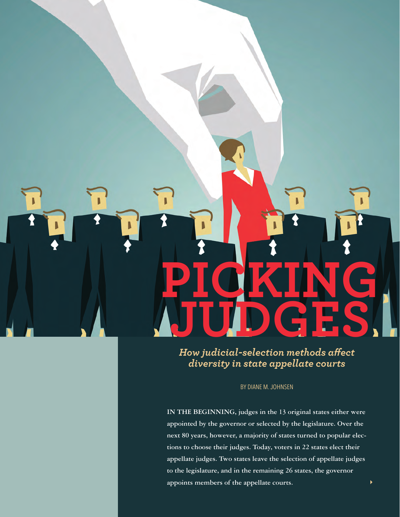# **PICKING JUDGES**

**JUDICATURE 29 AND 29 AND 29 AND 29 AND 29 AND 29 AND 29 AND 29 AND 29 AND 29 AND 29 AND 29 AND 200** 

*How judicial-selection methods affect diversity in state appellate courts*

BY DIANE M. JOHNSEN

**IN THE BEGINNING, judges in the 13 original states either were appointed by the governor or selected by the legislature. Over the next 80 years, however, a majority of states turned to popular elections to choose their judges. Today, voters in 22 states elect their appellate judges. Two states leave the selection of appellate judges to the legislature, and in the remaining 26 states, the governor appoints members of the appellate courts.** 

 $\blacktriangleright$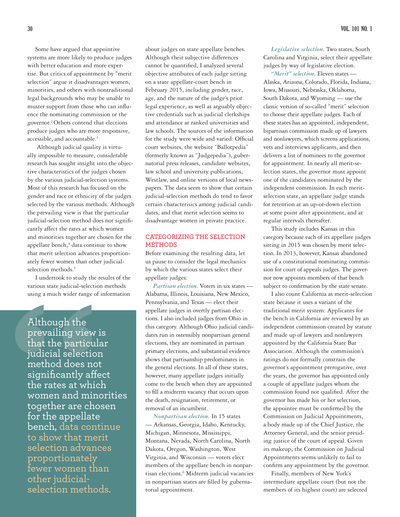Some have argued that appointive systems are more likely to produce judges with better education and more expertise. But critics of appointment by "merit selection" argue it disadvantages women, minorities, and others with nontraditional legal backgrounds who may be unable to muster support from those who can influence the nominating commission or the governor.2 Others contend that elections produce judges who are more responsive, accessible, and accountable.<sup>3</sup>

 Although judicial quality is virtually impossible to measure, considerable research has sought insight into the objective characteristics of the judges chosen by the various judicial-selection systems. Most of this research has focused on the gender and race or ethnicity of the judges selected by the various methods. Although the prevailing view is that the particular judicial-selection method does not significantly affect the rates at which women and minorities together are chosen for the appellate bench, $4$  data continue to show that merit selection advances proportionately fewer women than other judicialselection methods.<sup>5</sup>

I undertook to study the results of the various state judicial-selection methods using a much wider range of information

Although the<br>prevailing view is<br>that the particular<br>judicial selection<br>method does not<br>significantly affect<br>the rates at which<br>women and minorit<br>together are chosen<br>for the appellate<br>bench, data continu<br>to show that merit<br> Although the prevailing view is that the particular judicial selection method does not significantly affect the rates at which women and minorities together are chosen for the appellate bench, data continue to show that merit selection advances proportionately fewer women than other judicialselection methods.

about judges on state appellate benches. Although their subjective differences cannot be quantified, I analyzed several objective attributes of each judge sitting on a state appellate-court bench in February 2015, including gender, race, age, and the nature of the judge's prior legal experience, as well as arguably objective credentials such as judicial clerkships and attendance at ranked universities and law schools. The sources of the information for the study were wide and varied: Official court websites, the website "Ballotpedia" (formerly known as "Judgepedia"), gubernatorial press releases, candidate websites, law school and university publications, Westlaw, and online versions of local newspapers. The data seem to show that certain judicial-selection methods do tend to favor certain characterisics among judicial candidates, and that merit selection seems to disadvantage women in private practice.

## **CATEGORIZING THE SELECTION METHODS**

Before examining the resulting data, let us pause to consider the legal mechanics by which the various states select their appellate judges:

*Partisan election.* Voters in six states — Alabama, Illinois, Louisiana, New Mexico, Pennsylvania, and Texas — elect their appellate judges in overtly partisan elections. I also included judges from Ohio in this category. Although Ohio judicial candidates run in ostensibly nonpartisan general elections, they are nominated in partisan primary elections, and substantial evidence shows that partisanship predominates in the general elections. In all of these states, however, many appellate judges initially come to the bench when they are appointed to fill a midterm vacancy that occurs upon the death, resignation, retirement, or removal of an incumbent.

*Nonpartisan election.* In 15 states — Arkansas, Georgia, Idaho, Kentucky, Michigan, Minnesota, Mississippi, Montana, Nevada, North Carolina, North Dakota, Oregon, Washington, West Virginia, and Wisconsin — voters elect members of the appellate bench in nonpartisan elections.<sup>6</sup> Midterm judicial vacancies in nonpartisan states are filled by gubernatorial appointment.

*Legislative selection.* Two states, South Carolina and Virginia, select their appellate judges by way of legislative election.

*"Merit" selection.* Eleven states — Alaska, Arizona, Colorado, Florida, Indiana, Iowa, Missouri, Nebraska, Oklahoma, South Dakota, and Wyoming — use the classic version of so-called "merit" selection to choose their appellate judges. Each of these states has an appointed, independent, bipartisan commission made up of lawyers and nonlawyers, which screens applications, vets and interviews applicants, and then delivers a list of nominees to the governor for appointment. In nearly all merit-selection states, the governor must appoint one of the candidates nominated by the independent commission. In each meritselection state, an appellate judge stands for retention at an up-or-down election at some point after appointment, and at regular intervals thereafter.

This study includes Kansas in this category because each of its appellate judges sitting in 2015 was chosen by merit selection. In 2013, however, Kansas abandoned use of a constitutional nominating commission for court of appeals judges. The governor now appoints members of that bench subject to confirmation by the state senate.

I also count California as merit-selection state because it uses a variant of the traditional merit system: Applicants for the bench in California are reviewed by an independent commission created by statute and made up of lawyers and nonlawyers appointed by the California State Bar Association. Although the commission's ratings do not formally constrain the governor's appointment prerogative, over the years, the governor has appointed only a couple of appellate judges whom the commission found not qualified. After the governor has made his or her selection, the appointee must be confirmed by the Commission on Judicial Appointments, a body made up of the Chief Justice, the Attorney General, and the senior presiding justice of the court of appeal. Given its makeup, the Commission on Judicial Appointments seems unlikely to fail to confirm any appointment by the governor.

Finally, members of New York's intermediate appellate court (but not the members of its highest court) are selected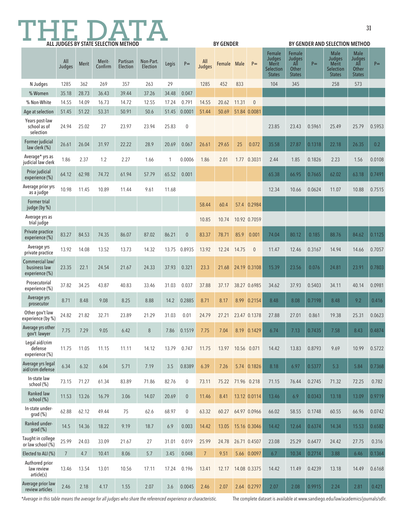# **31 THE DATA ALL JUDGES BY STATE SELECTION METHOD**

| ALL JUDGES BY STATE SELECTION METHOD              |                |              |                   |                      |                       |       | <b>BY GENDER</b> |                |             |             |              | BY GENDER AND SELECTION METHOD                                        |                                                          |        |                                                                            |                                                               |        |
|---------------------------------------------------|----------------|--------------|-------------------|----------------------|-----------------------|-------|------------------|----------------|-------------|-------------|--------------|-----------------------------------------------------------------------|----------------------------------------------------------|--------|----------------------------------------------------------------------------|---------------------------------------------------------------|--------|
|                                                   | All<br>Judges  | <b>Merit</b> | Merit-<br>Confirm | Partisan<br>Election | Non-Part.<br>Election | Legis | $P =$            | All<br>Judges  | Female Male |             | $P =$        | Female<br><b>Judges</b><br><b>Merit</b><br>Selection<br><b>States</b> | Female<br><b>Judges</b><br>All<br>Other<br><b>States</b> | $P =$  | <b>Male</b><br><b>Judges</b><br><b>Merit</b><br>Selection<br><b>States</b> | <b>Male</b><br><b>Judges</b><br>All<br>Other<br><b>States</b> | $P =$  |
| N Judges                                          | 1285           | 362          | 269               | 357                  | 263                   | 29    |                  | 1285           | 452         | 833         |              | 104                                                                   | 345                                                      |        | 258                                                                        | 573                                                           |        |
| % Women                                           | 35.18          | 28.73        | 36.43             | 39.44                | 37.26                 | 34.48 | 0.047            |                |             |             |              |                                                                       |                                                          |        |                                                                            |                                                               |        |
| % Non-White                                       | 14.55          | 14.09        | 16.73             | 14.72                | 12.55                 | 17.24 | 0.791            | 14.55          | 20.62       | 11.31       | $\mathbf{0}$ |                                                                       |                                                          |        |                                                                            |                                                               |        |
| Age at selection                                  | 51.45          | 51.22        | 53.31             | 50.91                | 50.6                  | 51.45 | 0.0001           | 51.44          | 50.69       |             | 51.84 0.0081 |                                                                       |                                                          |        |                                                                            |                                                               |        |
| Years post-law<br>school as of<br>selection       | 24.94          | 25.02        | 27                | 23.97                | 23.94                 | 25.83 | $\mathbf 0$      |                |             |             |              | 23.85                                                                 | 23.43                                                    | 0.5961 | 25.49                                                                      | 25.79                                                         | 0.5953 |
| Former judicial<br>law clerk (%)                  | 26.61          | 26.04        | 31.97             | 22.22                | 28.9                  | 20.69 | 0.067            | 26.61          | 29.65       | 25          | 0.072        | 35.58                                                                 | 27.87                                                    | 0.1318 | 22.18                                                                      | 26.35                                                         | 0.2    |
| Average* yrs as<br>judicial law clerk             | 1.86           | 2.37         | 1.2               | 2.27                 | 1.66                  | 1     | 0.0006           | 1.86           | 2.01        |             | 1.77 0.3031  | 2.44                                                                  | 1.85                                                     | 0.1826 | 2.23                                                                       | 1.56                                                          | 0.0108 |
| Prior judicial<br>experience (%)                  | 64.12          | 62.98        | 74.72             | 61.94                | 57.79                 | 65.52 | 0.001            |                |             |             |              | 65.38                                                                 | 66.95                                                    | 0.7665 | 62.02                                                                      | 63.18                                                         | 0.7491 |
| Average prior yrs<br>as a judge                   | 10.98          | 11.45        | 10.89             | 11.44                | 9.61                  | 11.68 |                  |                |             |             |              | 12.34                                                                 | 10.66                                                    | 0.0624 | 11.07                                                                      | 10.88                                                         | 0.7515 |
| Former trial<br>judge (by %)                      |                |              |                   |                      |                       |       |                  | 58.44          | 60.4        |             | 57.4 0.2984  |                                                                       |                                                          |        |                                                                            |                                                               |        |
| Average yrs as<br>trial judge                     |                |              |                   |                      |                       |       |                  | 10.85          | 10.74       |             | 10.92 0.7059 |                                                                       |                                                          |        |                                                                            |                                                               |        |
| Private practice<br>experience (%)                | 83.27          | 84.53        | 74.35             | 86.07                | 87.02                 | 86.21 | $\theta$         | 83.37          | 78.71       | 85.9        | 0.001        | 74.04                                                                 | 80.12                                                    | 0.185  | 88.76                                                                      | 84.62                                                         | 0.1125 |
| Average yrs<br>private practice                   | 13.92          | 14.08        | 13.52             | 13.73                | 14.32                 | 13.75 | 0.8935           | 13.92          | 12.24       | 14.75       | $\mathbf{0}$ | 11.47                                                                 | 12.46                                                    | 0.3167 | 14.94                                                                      | 14.66                                                         | 0.7057 |
| Commercial law/<br>business law<br>experience (%) | 23.35          | 22.1         | 24.54             | 21.67                | 24.33                 | 37.93 | 0.321            | 23.3           | 21.68       |             | 24.19 0.3108 | 15.39                                                                 | 23.56                                                    | 0.076  | 24.81                                                                      | 23.91                                                         | 0.7803 |
| Prosecutorial<br>experience (%)                   | 37.82          | 34.25        | 43.87             | 40.83                | 33.46                 | 31.03 | 0.037            | 37.88          | 37.17       |             | 38.27 0.6985 | 34.62                                                                 | 37.93                                                    | 0.5403 | 34.11                                                                      | 40.14                                                         | 0.0981 |
| Average yrs<br>prosecutor                         | 8.71           | 8.48         | 9.08              | 8.25                 | 8.88                  | 14.2  | 0.2885           | 8.71           | 8.17        |             | 8.99 0.2154  | 8.48                                                                  | 8.08                                                     | 0.7198 | 8.48                                                                       | 9.2                                                           | 0.416  |
| Other gov't law<br>experience (by %)              | 24.82          | 21.82        | 32.71             | 23.89                | 21.29                 | 31.03 | 0.01             | 24.79          | 27.21       |             | 23.47 0.1378 | 27.88                                                                 | 27.01                                                    | 0.861  | 19.38                                                                      | 25.31                                                         | 0.0623 |
| Average yrs other<br>gov't lawyer                 | 7.75           | 7.29         | 9.05              | 6.42                 | 8                     | 7.86  | 0.1519           | 7.75           | 7.04        |             | 8.19 0.1429  | 6.74                                                                  | 7.13                                                     | 0.7435 | 7.58                                                                       | 8.43                                                          | 0.4874 |
| Legal aid/crim<br>defense<br>experience (%)       | 11.75          | 11.05        | 11.15             | 11.11                | 14.12                 | 13.79 | 0.747            | 11.75          | 13.97       | 10.56 0.071 |              | 14.42                                                                 | 13.83                                                    | 0.8793 | 9.69                                                                       | 10.99                                                         | 0.5722 |
| Average yrs legal<br>aid/crim defense             | 6.34           | 6.32         | 6.04              | 5.71                 | 7.19                  | 3.5   | 0.8389           | 6.39           | 7.26        |             | 5.74 0.1826  | 8.18                                                                  | 6.97                                                     | 0.5377 | 5.3                                                                        | 5.84                                                          | 0.7368 |
| In-state law<br>school (%)                        | 73.15          | 71.27        | 61.34             | 83.89                | 71.86                 | 82.76 | $\mathbf 0$      | 73.11          | 75.22       | 71.96 0.218 |              | 71.15                                                                 | 76.44                                                    | 0.2745 | 71.32                                                                      | 72.25                                                         | 0.782  |
| Ranked law<br>school (%)                          | 11.53          | 13.26        | 16.79             | 3.06                 | 14.07                 | 20.69 | $\pmb{0}$        | 11.46          | 8.41        |             | 13.12 0.0114 | 13.46                                                                 | 6.9                                                      | 0.0343 | 13.18                                                                      | 13.09                                                         | 0.9719 |
| In-state under-<br>grad (%)                       | 62.88          | 62.12        | 49.44             | 75                   | 62.6                  | 68.97 | $\boldsymbol{0}$ | 63.32          | 60.27       |             | 64.97 0.0966 | 66.02                                                                 | 58.55                                                    | 0.1748 | 60.55                                                                      | 66.96                                                         | 0.0742 |
| Ranked under-<br>grad (%)                         | 14.5           | 14.36        | 18.22             | 9.19                 | 18.7                  | 6.9   | 0.003            | 14.42          | 13.05       |             | 15.16 0.3046 | 14.42                                                                 | 12.64                                                    | 0.6374 | 14.34                                                                      | 15.53                                                         | 0.6582 |
| Taught in college<br>or law school (%)            | 25.99          | 24.03        | 33.09             | 21.67                | 27                    | 31.01 | 0.019            | 25.99          | 24.78       |             | 26.71 0.4507 | 23.08                                                                 | 25.29                                                    | 0.6477 | 24.42                                                                      | 27.75                                                         | 0.316  |
| Elected to ALI (%)                                | $\overline{7}$ | 4.7          | 10.41             | 8.06                 | 5.7                   | 3.45  | 0.048            | $\overline{7}$ | 9.51        |             | 5.66 0.0097  | 6.7                                                                   | 10.34                                                    | 0.2714 | 3.88                                                                       | 6.46                                                          | 0.1364 |
| Authored prior<br>law review<br>article(s)        | 13.46          | 13.54        | 13.01             | 10.56                | 17.11                 | 17.24 | 0.196            | 13.41          | 12.17       |             | 14.08 0.3375 | 14.42                                                                 | 11.49                                                    | 0.4239 | 13.18                                                                      | 14.49                                                         | 0.6168 |
| Average prior law<br>review articles              | 2.46           | 2.18         | 4.17              | 1.55                 | 2.07                  | 3.6   | 0.0045           | 2.46           | 2.07        |             | 2.64 0.2797  | 2.07                                                                  | 2.08                                                     | 0.9915 | 2.24                                                                       | 2.81                                                          | 0.421  |

*\*Average in this table means the average for all judges who share the referenced experience or characteristic.* The complete dataset is available at www.sandiego.edu/law/academics/journals/sdlr.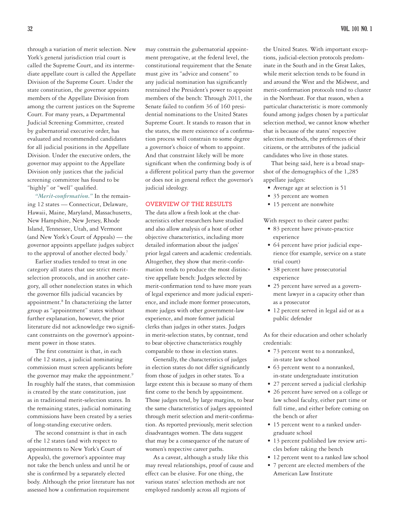through a variation of merit selection. New York's general jurisdiction trial court is called the Supreme Court, and its intermediate appellate court is called the Appellate Division of the Supreme Court. Under the state constitution, the governor appoints members of the Appellate Division from among the current justices on the Supreme Court. For many years, a Departmental Judicial Screening Committee, created by gubernatorial executive order, has evaluated and recommended candidates for all judicial positions in the Appellate Division. Under the executive orders, the governor may appoint to the Appellate Division only justices that the judicial screening committee has found to be "highly" or "well" qualified.

*"Merit-confirmation."* In the remaining 12 states — Connecticut, Delaware, Hawaii, Maine, Maryland, Massachusetts, New Hampshire, New Jersey, Rhode Island, Tennessee, Utah, and Vermont (and New York's Court of Appeals) — the governor appoints appellate judges subject to the approval of another elected body.7

Earlier studies tended to treat in one category all states that use strict meritselection protocols, and in another category, all other nonelection states in which the governor fills judicial vacancies by appointment.<sup>8</sup> In characterizing the latter group as "appointment" states without further explanation, however, the prior literature did not acknowledge two significant constraints on the governor's appointment power in those states.

The first constraint is that, in each of the 12 states, a judicial nominating commission must screen applicants before the governor may make the appointment.<sup>9</sup> In roughly half the states, that commission is created by the state constitution, just as in traditional merit-selection states. In the remaining states, judicial nominating commissions have been created by a series of long-standing executive orders.

The second constraint is that in each of the 12 states (and with respect to appointments to New York's Court of Appeals), the governor's appointee may not take the bench unless and until he or she is confirmed by a separately elected body. Although the prior literature has not assessed how a confirmation requirement

may constrain the gubernatorial appointment prerogative, at the federal level, the constitutional requirement that the Senate must give its "advice and consent" to any judicial nomination has significantly restrained the President's power to appoint members of the bench: Through 2011, the Senate failed to confirm 36 of 160 presidential nominations to the United States Supreme Court. It stands to reason that in the states, the mere existence of a confirmation process will constrain to some degree a governor's choice of whom to appoint. And that constraint likely will be more significant when the confirming body is of a different political party than the governor or does not in general reflect the governor's judicial ideology.

# **OVERVIEW OF THE RESULTS**

The data allow a fresh look at the characteristics other researchers have studied and also allow analysis of a host of other objective characteristics, including more detailed information about the judges' prior legal careers and academic credentials. Altogether, they show that merit-confirmation tends to produce the most distinctive appellate bench: Judges selected by merit-confirmation tend to have more years of legal experience and more judicial experience, and include more former prosecutors, more judges with other government-law experience, and more former judicial clerks than judges in other states. Judges in merit-selection states, by contrast, tend to bear objective characteristics roughly comparable to those in election states.

Generally, the characteristics of judges in election states do not differ significantly from those of judges in other states. To a large extent this is because so many of them first come to the bench by appointment. Those judges tend, by large margins, to bear the same characteristics of judges appointed through merit selection and merit-confirmation. As reported previously, merit selection disadvantages women. The data suggest that may be a consequence of the nature of women's respective career paths.

As a caveat, although a study like this may reveal relationships, proof of cause and effect can be elusive. For one thing, the various states' selection methods are not employed randomly across all regions of

the United States. With important exceptions, judicial-election protocols predominate in the South and in the Great Lakes, while merit selection tends to be found in and around the West and the Midwest, and merit-confirmation protocols tend to cluster in the Northeast. For that reason, when a particular characteristic is more commonly found among judges chosen by a particular selection method, we cannot know whether that is because of the states' respective selection methods, the preferences of their citizens, or the attributes of the judicial candidates who live in those states.

That being said, here is a broad snapshot of the demographics of the 1,285 appellate judges:

- Average age at selection is 51
- 35 percent are women
- 15 percent are nonwhite

With respect to their career paths:

- 83 percent have private-practice experience
- 64 percent have prior judicial experience (for example, service on a state trial court)
- 38 percent have prosecutorial experience
- 25 percent have served as a government lawyer in a capacity other than as a prosecutor
- 12 percent served in legal aid or as a public defender

As for their education and other scholarly credentials:

- 73 percent went to a nonranked, in-state law school
- 63 percent went to a nonranked, in-state undergraduate institution
- 27 percent served a judicial clerkship
- 26 percent have served on a college or law school faculty, either part time or full time, and either before coming on the bench or after
- 15 percent went to a ranked undergraduate school
- 13 percent published law review articles before taking the bench
- 12 percent went to a ranked law school
- 7 percent are elected members of the American Law Institute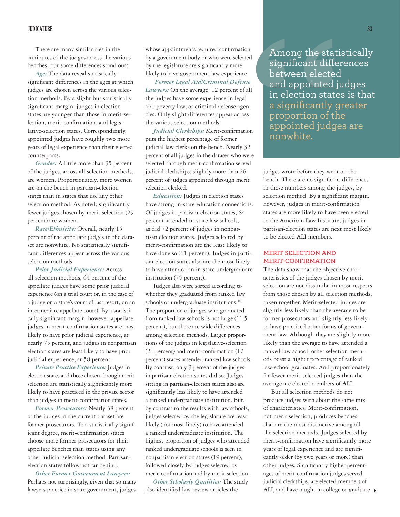### **JUDICATURE 33**

There are many similarities in the attributes of the judges across the various benches, but some differences stand out:

*Age:* The data reveal statistically significant differences in the ages at which judges are chosen across the various selection methods. By a slight but statistically significant margin, judges in election states are younger than those in merit-selection, merit-confirmation, and legislative-selection states. Correspondingly, appointed judges have roughly two more years of legal experience than their elected counterparts.

*Gender:* A little more than 35 percent of the judges, across all selection methods, are women. Proportionately, more women are on the bench in partisan-election states than in states that use any other selection method. As noted, significantly fewer judges chosen by merit selection (29 percent) are women.

*Race/Ethnicity:* Overall, nearly 15 percent of the appellate judges in the dataset are nonwhite. No statistically significant differences appear across the various selection methods.

*Prior Judicial Experience:* Across all selection methods, 64 percent of the appellate judges have some prior judicial experience (on a trial court or, in the case of a judge on a state's court of last resort, on an intermediate appellate court). By a statistically significant margin, however, appellate judges in merit-confirmation states are most likely to have prior judicial experience, at nearly 75 percent, and judges in nonpartisan election states are least likely to have prior judicial experience, at 58 percent.

*Private Practice Experience:* Judges in election states and those chosen through merit selection are statistically significantly more likely to have practiced in the private sector than judges in merit-confirmation states.

*Former Prosecutors:* Nearly 38 percent of the judges in the current dataset are former prosecutors. To a statistically significant degree, merit-confirmation states choose more former prosecutors for their appellate benches than states using any other judicial selection method. Partisanelection states follow not far behind.

*Other Former Government Lawyers:*  Perhaps not surprisingly, given that so many lawyers practice in state government, judges

whose appointments required confirmation by a government body or who were selected by the legislature are significantly more likely to have government-law experience.

*Former Legal Aid/Criminal Defense Lawyers:* On the average, 12 percent of all the judges have some experience in legal aid, poverty law, or criminal defense agencies. Only slight differences appear across the various selection methods.

*Judicial Clerkships:* Merit-confirmation puts the highest percentage of former judicial law clerks on the bench. Nearly 32 percent of all judges in the dataset who were selected through merit-confirmation served judicial clerkships; slightly more than 26 percent of judges appointed through merit selection clerked.

*Education:* Judges in election states have strong in-state education connections. Of judges in partisan-election states, 84 percent attended in-state law schools, as did 72 percent of judges in nonpartisan election states. Judges selected by merit-confirmation are the least likely to have done so (61 percent). Judges in partisan-election states also are the most likely to have attended an in-state undergraduate institution (75 percent).

Judges also were sorted according to whether they graduated from ranked law schools or undergraduate institutions.<sup>10</sup> The proportion of judges who graduated from ranked law schools is not large (11.5 percent), but there are wide differences among selection methods. Larger proportions of the judges in legislative-selection (21 percent) and merit-confirmation (17 percent) states attended ranked law schools. By contrast, only 3 percent of the judges in partisan-election states did so. Judges sitting in partisan-election states also are significantly less likely to have attended a ranked undergraduate institution. But, by contrast to the results with law schools, judges selected by the legislature are least likely (not most likely) to have attended a ranked undergraduate institution. The highest proportion of judges who attended ranked undergraduate schools is seen in nonpartisan election states (19 percent), followed closely by judges selected by merit-confirmation and by merit selection.

*Other Scholarly Qualities:* The study also identified law review articles the

Francion (France)<br>
Secondary and appointed judge of the statistic significant difference of all in election states is<br>
and appointed judge in election states is<br>
a significantly great<br>
formation appointed judges are propor Among the statistically significant differences between elected and appointed judges in election states is that a significantly greater proportion of the appointed judges are nonwhite.

judges wrote before they went on the bench. There are no significant differences in those numbers among the judges, by selection method. By a significant margin, however, judges in merit-confirmation states are more likely to have been elected to the American Law Institute; judges in partisan-election states are next most likely to be elected ALI members.

# **MERIT SELECTION AND MERIT-CONFIRMATION**

The data show that the objective characteristics of the judges chosen by merit selection are not dissimilar in most respects from those chosen by all selection methods, taken together. Merit-selected judges are slightly less likely than the average to be former prosecutors and slightly less likely to have practiced other forms of government law. Although they are slightly more likely than the average to have attended a ranked law school, other selection methods boast a higher percentage of ranked law-school graduates. And proportionately far fewer merit-selected judges than the average are elected members of ALI.

But all selection methods do not produce judges with about the same mix of characteristics. Merit-confirmation, not merit selection, produces benches that are the most distinctive among all the selection methods. Judges selected by merit-confirmation have significantly more years of legal experience and are significantly older (by two years or more) than other judges. Significantly higher percentages of merit-confirmation judges served judicial clerkships, are elected members of ALI, and have taught in college or graduate  $\rightarrow$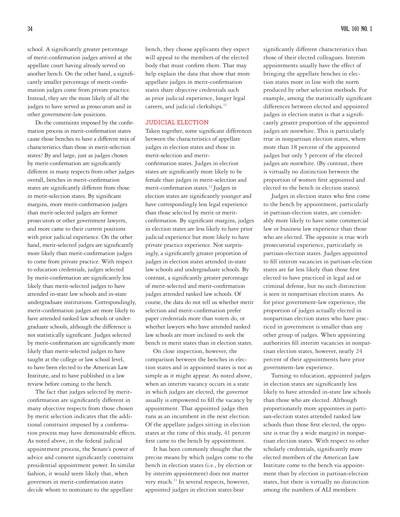school. A significantly greater percentage of merit-confirmation judges arrived at the appellate court having already served on another bench. On the other hand, a significantly smaller percentage of merit-confirmation judges come from private practice. Instead, they are the most likely of all the judges to have served as prosecutors and in other government-law positions.

Do the constraints imposed by the confirmation process in merit-confirmation states cause those benches to have a different mix of characteristics than those in merit-selection states? By and large, just as judges chosen by merit-confirmation are significantly different in many respects from other judges overall, benches in merit-confirmation states are significantly different from those in merit-selection states. By significant margins, more merit-confirmation judges than merit-selected judges are former prosecutors or other government lawyers, and more came to their current positions with prior judicial experience. On the other hand, merit-selected judges are significantly more likely than merit-confirmation judges to come from private practice. With respect to education credentials, judges selected by merit-confirmation are significantly less likely than merit-selected judges to have attended in-state law schools and in-state undergraduate institutions. Correspondingly, merit-confirmation judges are more likely to have attended ranked law schools or undergraduate schools, although the difference is not statistically significant. Judges selected by merit-confirmation are significantly more likely than merit-selected judges to have taught at the college or law school level, to have been elected to the American Law Institute, and to have published in a law review before coming to the bench.

The fact that judges selected by meritconfirmation are significantly different in many objective respects from those chosen by merit selection indicates that the additional constraint imposed by a confirmation process may have demonstrable effects. As noted above, in the federal judicial appointment process, the Senate's power of advice and consent significantly constrains presidential appointment power. In similar fashion, it would seem likely that, when governors in merit-confirmation states decide whom to nominate to the appellate

bench, they choose applicants they expect will appeal to the members of the elected body that must confirm them. That may help explain the data that show that more appellate judges in merit-confirmation states share objective credentials such as prior judicial experience, longer legal careers, and judicial clerkships.<sup>11</sup>

### **JUDICIAL ELECTION**

Taken together, some significant differences between the characteristics of appellate judges in election states and those in merit-selection and meritconfirmation states. Judges in election states are significantly more likely to be female than judges in merit-selection and merit-confirmation states.12 Judges in election states are significantly younger and have correspondingly less legal experience than those selected by merit or meritconfirmation. By significant margins, judges in election states are less likely to have prior judicial experience but more likely to have private practice experience. Not surprisingly, a significantly greater proportion of judges in election states attended in-state law schools and undergraduate schools. By contrast, a significantly greater percentage of merit-selected and merit-confirmation judges attended ranked law schools. Of course, the data do not tell us whether merit selection and merit-confirmation prefer paper credentials more than voters do, or whether lawyers who have attended ranked law schools are more inclined to seek the bench in merit states than in election states.

On close inspection, however, the comparison between the benches in election states and in appointed states is not as simple as it might appear. As noted above, when an interim vacancy occurs in a state in which judges are elected, the governor usually is empowered to fill the vacancy by appointment. That appointed judge then runs as an incumbent in the next election. Of the appellate judges sitting in election states at the time of this study, 41 percent first came to the bench by appointment.

It has been commonly thought that the precise means by which judges come to the bench in election states (i.e., by election or by interim appointment) does not matter very much.<sup>13</sup> In several respects, however, appointed judges in election states bear

significantly different characteristics than those of their elected colleagues. Interim appointments usually have the effect of bringing the appellate benches in election states more in line with the norm produced by other selection methods. For example, among the statistically significant differences between elected and appointed judges in election states is that a significantly greater proportion of the appointed judges are nonwhite. This is particularly true in nonpartisan election states, where more than 18 percent of the appointed judges but only 5 percent of the elected judges are nonwhite. (By contrast, there is virtually no distinction between the proportion of women first appointed and elected to the bench in election states).

Judges in election states who first come to the bench by appointment, particularly in partisan-election states, are considerably more likely to have some commercial law or business law experience than those who are elected. The opposite is true with prosecutorial experience, particularly in partisan-election states. Judges appointed to fill interim vacancies in partisan-election states are far less likely than those first elected to have practiced in legal aid or criminal defense, but no such distinction is seen in nonpartisan election states. As for prior government-law experience, the proportion of judges actually elected in nonpartisan election states who have practiced in government is smaller than any other group of judges. When appointing authorities fill interim vacancies in nonpartisan election states, however, nearly 24 percent of their appointments have prior government-law experience.

Turning to education, appointed judges in election states are significantly less likely to have attended in-state law schools than those who are elected. Although proportionately more appointees in partisan-election states attended ranked law schools than those first elected, the opposite is true (by a wide margin) in nonpartisan election states. With respect to other scholarly credentials, significantly more elected members of the American Law Institute come to the bench via appointment than by election in partisan-election states, but there is virtually no distinction among the numbers of ALI members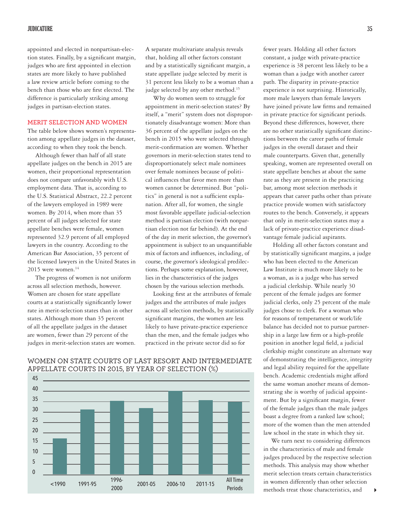appointed and elected in nonpartisan-election states. Finally, by a significant margin, judges who are first appointed in election states are more likely to have published a law review article before coming to the bench than those who are first elected. The difference is particularly striking among judges in partisan-election states.

### **MERIT SELECTION AND WOMEN**

The table below shows women's representation among appellate judges in the dataset, according to when they took the bench.

Although fewer than half of all state appellate judges on the bench in 2015 are women, their proportional representation does not compare unfavorably with U.S. employment data. That is, according to the U.S. Statistical Abstract, 22.2 percent of the lawyers employed in 1989 were women. By 2014, when more than 35 percent of all judges selected for state appellate benches were female, women represented 32.9 percent of all employed lawyers in the country. According to the American Bar Association, 35 percent of the licensed lawyers in the United States in 2015 were women.<sup>14</sup>

The progress of women is not uniform across all selection methods, however. Women are chosen for state appellate courts at a statistically significantly lower rate in merit-selection states than in other states. Although more than 35 percent of all the appellate judges in the dataset are women, fewer than 29 percent of the judges in merit-selection states are women. A separate multivariate analysis reveals that, holding all other factors constant and by a statistically significant margin, a state appellate judge selected by merit is 31 percent less likely to be a woman than a judge selected by any other method.<sup>15</sup>

Why do women seem to struggle for appointment in merit-selection states? By itself, a "merit" system does not disproportionately disadvantage women: More than 36 percent of the appellate judges on the bench in 2015 who were selected through merit-confirmation are women. Whether governors in merit-selection states tend to disproportionately select male nominees over female nominees because of political influences that favor men more than women cannot be determined. But "politics" in general is not a sufficient explanation. After all, for women, the single most favorable appellate judicial-selection method is partisan election (with nonpartisan election not far behind). At the end of the day in merit selection, the governor's appointment is subject to an unquantifiable mix of factors and influences, including, of course, the governor's ideological predilections. Perhaps some explanation, however, lies in the characteristics of the judges chosen by the various selection methods.

Looking first at the attributes of female judges and the attributes of male judges across all selection methods, by statistically significant margins, the women are less likely to have private-practice experience than the men, and the female judges who practiced in the private sector did so for

Periods

fewer years. Holding all other factors constant, a judge with private-practice experience is 38 percent less likely to be a woman than a judge with another career path. The disparity in private-practice experience is not surprising. Historically, more male lawyers than female lawyers have joined private law firms and remained in private practice for significant periods. Beyond these differences, however, there are no other statistically significant distinctions between the career paths of female judges in the overall dataset and their male counterparts. Given that, generally speaking, women are represented overall on state appellate benches at about the same rate as they are present in the practicing bar, among most selection methods it appears that career paths other than private practice provide women with satisfactory routes to the bench. Conversely, it appears that only in merit-selection states may a lack of private-practice experience disadvantage female judicial aspirants.

 Holding all other factors constant and by statistically significant margins, a judge who has been elected to the American Law Institute is much more likely to be a woman, as is a judge who has served a judicial clerkship. While nearly 30 percent of the female judges are former judicial clerks, only 25 percent of the male judges chose to clerk. For a woman who for reasons of temperament or work/life balance has decided not to pursue partnership in a large law firm or a high-profile position in another legal field, a judicial clerkship might constitute an alternate way of demonstrating the intelligence, integrity and legal ability required for the appellate bench. Academic credentials might afford the same woman another means of demonstrating she is worthy of judicial appointment. But by a significant margin, fewer of the female judges than the male judges boast a degree from a ranked law school; more of the women than the men attended law school in the state in which they sit.

We turn next to considering differences in the characteristics of male and female judges produced by the respective selection methods. This analysis may show whether merit selection treats certain characteristics in women differently than other selection methods treat those characteristics, and 4



# WOMEN ON STATE COURTS OF LAST RESORT AND INTERMEDIATE APPELLATE COURTS IN 2015, BY YEAR OF SELECTION (%)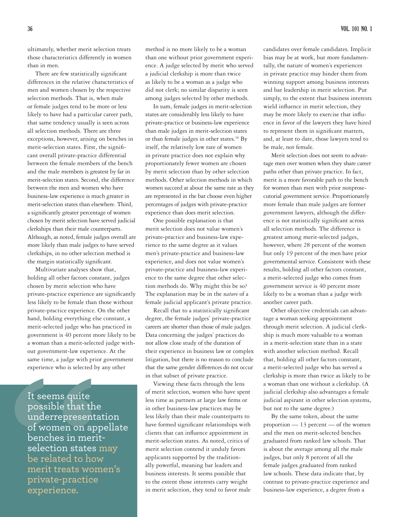ultimately, whether merit selection treats those characteristics differently in women than in men.

There are few statistically significant differences in the relative characteristics of men and women chosen by the respective selection methods. That is, when male or female judges tend to be more or less likely to have had a particular career path, that same tendency usually is seen across all selection methods. There are three exceptions, however, arising on benches in merit-selection states. First, the significant overall private-practice differential between the female members of the bench and the male members is greatest by far in merit-selection states. Second, the difference between the men and women who have business-law experience is much greater in merit-selection states than elsewhere. Third, a significantly greater percentage of women chosen by merit selection have served judicial clerkships than their male counterparts. Although, as noted, female judges overall are more likely than male judges to have served clerkships, in no other selection method is the margin statistically significant.

Multivariate analyses show that, holding all other factors constant, judges chosen by merit selection who have private-practice experience are significantly less likely to be female than those without private-practice experience. On the other hand, holding everything else constant, a merit-selected judge who has practiced in government is 40 percent more likely to be a woman than a merit-selected judge without government-law experience. At the same time, a judge with prior government experience who is selected by any other

It seems quite<br>possible that the<br>underrepresentation<br>of women on appell<br>benches in merit-<br>selection states may<br>be related to how<br>merit treats women'<br>private-practice<br>experience. It seems quite possible that the underrepresentation of women on appellate benches in meritselection states may be related to how merit treats women's private-practice experience.

method is no more likely to be a woman than one without prior government experience. A judge selected by merit who served a judicial clerkship is more than twice as likely to be a woman as a judge who did not clerk; no similar disparity is seen among judges selected by other methods.

In sum, female judges in merit-selection states are considerably less likely to have private-practice or business-law experience than male judges in merit-selection states or than female judges in other states.<sup>16</sup> By itself, the relatively low rate of women in private practice does not explain why proportionately fewer women are chosen by merit selection than by other selection methods. Other selection methods in which women succeed at about the same rate as they are represented in the bar choose even higher percentages of judges with private-practice experience than does merit selection.

One possible explanation is that merit selection does not value women's private-practice and business-law experience to the same degree as it values men's private-practice and business-law experience, and does not value women's private-practice and business-law experience to the same degree that other selection methods do. Why might this be so? The explanation may be in the *nature* of a female judicial applicant's private practice.

Recall that to a statistically significant degree, the female judges' private-practice careers are shorter than those of male judges. Data concerning the judges' practices do not allow close study of the duration of their experience in business law or complex litigation, but there is no reason to conclude that the same gender differences do not occur in that subset of private practice.

Viewing these facts through the lens of merit selection, women who have spent less time as partners at large law firms or in other business-law practices may be less likely than their male counterparts to have formed significant relationships with clients that can influence appointment in merit-selection states. As noted, critics of merit selection contend it unduly favors applicants supported by the traditionally powerful, meaning bar leaders and business interests. It seems possible that to the extent those interests carry weight in merit selection, they tend to favor male

candidates over female candidates. Implicit bias may be at work, but more fundamentally, the nature of women's experiences in private practice may hinder them from winning support among business interests and bar leadership in merit selection. Put simply, to the extent that business interests wield influence in merit selection, they may be more likely to exercise that influence in favor of the lawyers they have hired to represent them in significant matters, and, at least to date, those lawyers tend to be male, not female.

Merit selection does not seem to advantage men over women when they share career paths other than private practice. In fact, merit is a more favorable path to the bench for women than men with prior nonprosecutorial government service. Proportionately more female than male judges are former government lawyers, although the difference is not statistically significant across all selection methods. The difference is greatest among merit-selected judges, however, where 28 percent of the women but only 19 percent of the men have prior governmental service. Consistent with these results, holding all other factors constant, a merit-selected judge who comes from government service is 40 percent more likely to be a woman than a judge with another career path.

Other objective credentials can advantage a woman seeking appointment through merit selection. A judicial clerkship is much more valuable to a woman in a merit-selection state than in a state with another selection method. Recall that, holding all other factors constant, a merit-selected judge who has served a clerkship is more than twice as likely to be a woman than one without a clerkship. (A judicial clerkship also advantages a female judicial aspirant in other selection systems, but not to the same degree.)

By the same token, about the same proportion — 13 percent — of the women and the men on merit-selected benches graduated from ranked law schools. That is about the average among all the male judges, but only 8 percent of all the female judges graduated from ranked law schools. These data indicate that, by contrast to private-practice experience and business-law experience, a degree from a